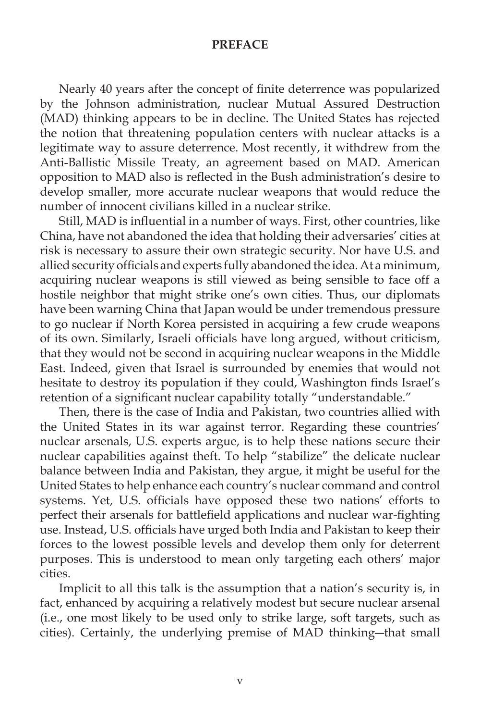## **PREFACE**

Nearly 40 years after the concept of finite deterrence was popularized by the Johnson administration, nuclear Mutual Assured Destruction (MAD) thinking appears to be in decline. The United States has rejected the notion that threatening population centers with nuclear attacks is a legitimate way to assure deterrence. Most recently, it withdrew from the Anti-Ballistic Missile Treaty, an agreement based on MAD. American opposition to MAD also is reflected in the Bush administration's desire to develop smaller, more accurate nuclear weapons that would reduce the number of innocent civilians killed in a nuclear strike.

Still, MAD is influential in a number of ways. First, other countries, like China, have not abandoned the idea that holding their adversaries' cities at risk is necessary to assure their own strategic security. Nor have U.S. and allied security officials and experts fully abandoned the idea. At a minimum, acquiring nuclear weapons is still viewed as being sensible to face off a hostile neighbor that might strike one's own cities. Thus, our diplomats have been warning China that Japan would be under tremendous pressure to go nuclear if North Korea persisted in acquiring a few crude weapons of its own. Similarly, Israeli officials have long argued, without criticism, that they would not be second in acquiring nuclear weapons in the Middle East. Indeed, given that Israel is surrounded by enemies that would not hesitate to destroy its population if they could, Washington finds Israel's retention of a significant nuclear capability totally "understandable."

 Then, there is the case of India and Pakistan, two countries allied with the United States in its war against terror. Regarding these countries' nuclear arsenals, U.S. experts argue, is to help these nations secure their nuclear capabilities against theft. To help "stabilize" the delicate nuclear balance between India and Pakistan, they argue, it might be useful for the United States to help enhance each country's nuclear command and control systems. Yet, U.S. officials have opposed these two nations' efforts to perfect their arsenals for battlefield applications and nuclear war-fighting use. Instead, U.S. officials have urged both India and Pakistan to keep their forces to the lowest possible levels and develop them only for deterrent purposes. This is understood to mean only targeting each others' major cities.

 Implicit to all this talk is the assumption that a nation's security is, in fact, enhanced by acquiring a relatively modest but secure nuclear arsenal (i.e., one most likely to be used only to strike large, soft targets, such as cities). Certainly, the underlying premise of MAD thinking―that small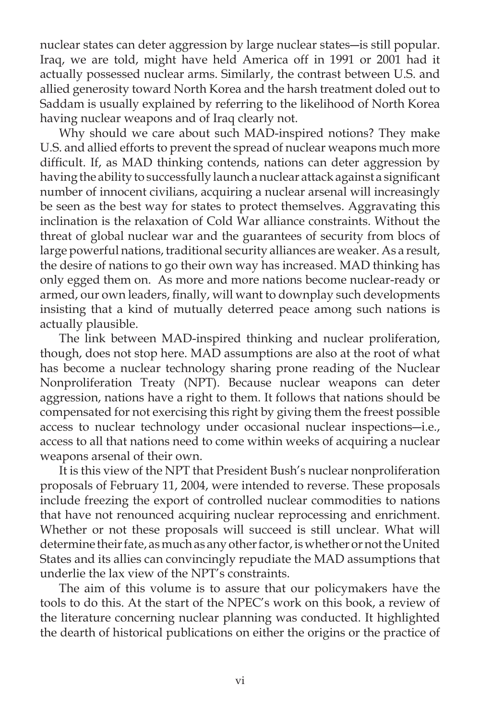nuclear states can deter aggression by large nuclear states―is still popular. Iraq, we are told, might have held America off in 1991 or 2001 had it actually possessed nuclear arms. Similarly, the contrast between U.S. and allied generosity toward North Korea and the harsh treatment doled out to Saddam is usually explained by referring to the likelihood of North Korea having nuclear weapons and of Iraq clearly not.

 Why should we care about such MAD-inspired notions? They make U.S. and allied efforts to prevent the spread of nuclear weapons much more difficult. If, as MAD thinking contends, nations can deter aggression by having the ability to successfully launch a nuclear attack against a significant number of innocent civilians, acquiring a nuclear arsenal will increasingly be seen as the best way for states to protect themselves. Aggravating this inclination is the relaxation of Cold War alliance constraints. Without the threat of global nuclear war and the guarantees of security from blocs of large powerful nations, traditional security alliances are weaker. As a result, the desire of nations to go their own way has increased. MAD thinking has only egged them on. As more and more nations become nuclear-ready or armed, our own leaders, finally, will want to downplay such developments insisting that a kind of mutually deterred peace among such nations is actually plausible.

 The link between MAD-inspired thinking and nuclear proliferation, though, does not stop here. MAD assumptions are also at the root of what has become a nuclear technology sharing prone reading of the Nuclear Nonproliferation Treaty (NPT). Because nuclear weapons can deter aggression, nations have a right to them. It follows that nations should be compensated for not exercising this right by giving them the freest possible access to nuclear technology under occasional nuclear inspections―i.e., access to all that nations need to come within weeks of acquiring a nuclear weapons arsenal of their own.

 It is this view of the NPT that President Bush's nuclear nonproliferation proposals of February 11, 2004, were intended to reverse. These proposals include freezing the export of controlled nuclear commodities to nations that have not renounced acquiring nuclear reprocessing and enrichment. Whether or not these proposals will succeed is still unclear. What will determine their fate, as much as any other factor, is whether or not the United States and its allies can convincingly repudiate the MAD assumptions that underlie the lax view of the NPT's constraints.

 The aim of this volume is to assure that our policymakers have the tools to do this. At the start of the NPEC's work on this book, a review of the literature concerning nuclear planning was conducted. It highlighted the dearth of historical publications on either the origins or the practice of